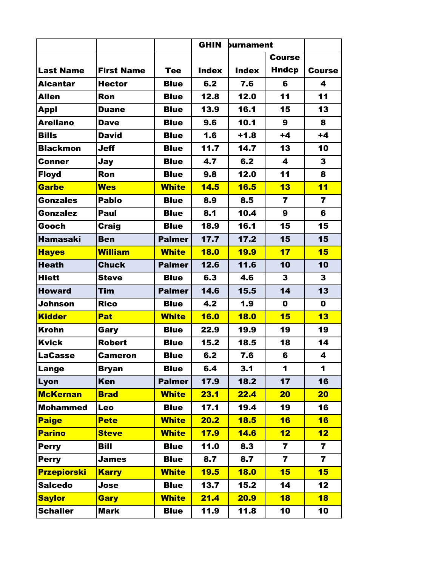|                    |                   |               | <b>GHIN</b>  | burnament    |                         |                         |
|--------------------|-------------------|---------------|--------------|--------------|-------------------------|-------------------------|
|                    |                   |               |              |              | <b>Course</b>           |                         |
| <b>Last Name</b>   | <b>First Name</b> | <b>Tee</b>    | <b>Index</b> | <b>Index</b> | Hndcp                   | <b>Course</b>           |
| <b>Alcantar</b>    | <b>Hector</b>     | <b>Blue</b>   | 6.2          | 7.6          | 6                       | 4                       |
| <b>Allen</b>       | Ron               | <b>Blue</b>   | 12.8         | 12.0         | 11                      | 11                      |
| Appl               | <b>Duane</b>      | <b>Blue</b>   | 13.9         | 16.1         | 15                      | 13                      |
| <b>Arellano</b>    | <b>Dave</b>       | <b>Blue</b>   | 9.6          | 10.1         | 9                       | 8                       |
| <b>Bills</b>       | <b>David</b>      | <b>Blue</b>   | 1.6          | $+1.8$       | $+4$                    | $+4$                    |
| <b>Blackmon</b>    | <b>Jeff</b>       | <b>Blue</b>   | 11.7         | 14.7         | 13                      | 10                      |
| <b>Conner</b>      | Jay               | <b>Blue</b>   | 4.7          | 6.2          | $\overline{\mathbf{4}}$ | 3                       |
| <b>Floyd</b>       | Ron               | <b>Blue</b>   | 9.8          | 12.0         | 11                      | 8                       |
| <b>Garbe</b>       | <b>Wes</b>        | <b>White</b>  | 14.5         | 16.5         | 13                      | 11                      |
| <b>Gonzales</b>    | <b>Pablo</b>      | <b>Blue</b>   | 8.9          | 8.5          | $\overline{\mathbf{r}}$ | $\overline{\mathbf{z}}$ |
| <b>Gonzalez</b>    | Paul              | <b>Blue</b>   | 8.1          | 10.4         | $\boldsymbol{9}$        | 6                       |
| Gooch              | <b>Craig</b>      | <b>Blue</b>   | 18.9         | 16.1         | 15                      | 15                      |
| <b>Hamasaki</b>    | <b>Ben</b>        | <b>Palmer</b> | 17.7         | 17.2         | 15                      | 15                      |
| <b>Hayes</b>       | <b>William</b>    | <b>White</b>  | <b>18.0</b>  | <b>19.9</b>  | 17                      | 15                      |
| <b>Heath</b>       | <b>Chuck</b>      | <b>Palmer</b> | 12.6         | 11.6         | 10                      | 10                      |
| <b>Hiett</b>       | <b>Steve</b>      | <b>Blue</b>   | 6.3          | 4.6          | $\mathbf{3}$            | 3                       |
| <b>Howard</b>      | <b>Tim</b>        | <b>Palmer</b> | 14.6         | 15.5         | 14                      | 13                      |
| Johnson            | <b>Rico</b>       | <b>Blue</b>   | 4.2          | 1.9          | $\mathbf 0$             | $\mathbf 0$             |
| <b>Kidder</b>      | <b>Pat</b>        | <b>White</b>  | <b>16.0</b>  | <b>18.0</b>  | 15                      | 13                      |
| <b>Krohn</b>       | Gary              | <b>Blue</b>   | 22.9         | 19.9         | 19                      | 19                      |
| <b>Kvick</b>       | <b>Robert</b>     | <b>Blue</b>   | 15.2         | 18.5         | 18                      | 14                      |
| <b>LaCasse</b>     | <b>Cameron</b>    | <b>Blue</b>   | 6.2          | 7.6          | 6                       | 4                       |
| Lange              | <b>Bryan</b>      | <b>Blue</b>   | 6.4          | 3.1          | 1                       | 1                       |
| Lyon               | <b>Ken</b>        | <b>Palmer</b> | 17.9         | 18.2         | 17                      | 16                      |
| <b>McKernan</b>    | <b>Brad</b>       | <b>White</b>  | 23.1         | 22.4         | 20                      | 20 <sub>2</sub>         |
| <b>Mohammed</b>    | Leo               | <b>Blue</b>   | 17.1         | 19.4         | 19                      | 16                      |
| <b>Paige</b>       | <b>Pete</b>       | <b>White</b>  | 20.2         | 18.5         | 16                      | 16                      |
| <b>Parino</b>      | <b>Steve</b>      | <b>White</b>  | <b>17.9</b>  | <b>14.6</b>  | 12                      | 12                      |
| <b>Perry</b>       | <b>Bill</b>       | <b>Blue</b>   | 11.0         | 8.3          | $\overline{7}$          | $\overline{\mathbf{7}}$ |
| <b>Perry</b>       | <b>James</b>      | <b>Blue</b>   | 8.7          | 8.7          | $\overline{\mathbf{z}}$ | $\overline{\mathbf{z}}$ |
| <b>Przepiorski</b> | <b>Karry</b>      | <b>White</b>  | 19.5         | <b>18.0</b>  | 15                      | 15                      |
| <b>Salcedo</b>     | Jose              | <b>Blue</b>   | 13.7         | 15.2         | 14                      | 12                      |
| <b>Saylor</b>      | <b>Gary</b>       | <b>White</b>  | 21.4         | <b>20.9</b>  | 18                      | 18                      |
| <b>Schaller</b>    | <b>Mark</b>       | <b>Blue</b>   | 11.9         | 11.8         | 10                      | 10                      |